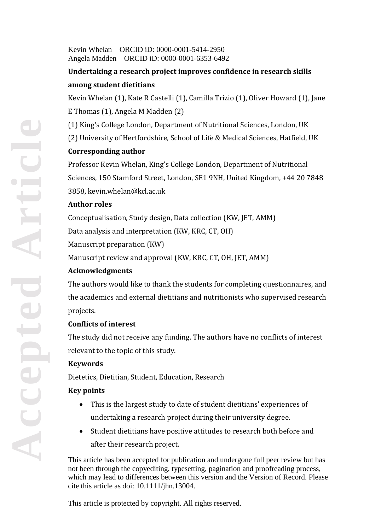Kevin Whelan ORCID iD: 0000-0001-5414-2950 Angela Madden ORCID iD: 0000-0001-6353-6492

# **Undertaking a research project improves confidence in research skills among student dietitians**

Kevin Whelan (1), Kate R Castelli (1), Camilla Trizio (1), Oliver Howard (1), Jane E Thomas (1), Angela M Madden (2)

(1) King's College London, Department of Nutritional Sciences, London, UK (2) University of Hertfordshire, School of Life & Medical Sciences, Hatfield, UK

# **Corresponding author**

Professor Kevin Whelan, King's College London, Department of Nutritional Sciences, 150 Stamford Street, London, SE1 9NH, United Kingdom, +44 20 7848 3858, kevin.whelan@kcl.ac.uk

## **Author roles**

Conceptualisation, Study design, Data collection (KW, JET, AMM) Data analysis and interpretation (KW, KRC, CT, OH) Manuscript preparation (KW) Manuscript review and approval (KW, KRC, CT, OH, JET, AMM)

## **Acknowledgments**

The authors would like to thank the students for completing questionnaires, and the academics and external dietitians and nutritionists who supervised research projects.

## **Conflicts of interest**

The study did not receive any funding. The authors have no conflicts of interest relevant to the topic of this study.

# **Keywords**

Dietetics, Dietitian, Student, Education, Research

# **Key points**

- This is the largest study to date of student dietitians' experiences of undertaking a research project during their university degree.
- Student dietitians have positive attitudes to research both before and after their research project.

This article has been accepted for publication and undergone full peer review but has not been through the copyediting, typesetting, pagination and proofreading process, which may lead to differences between this version and the Version of Record. Please cite this article as doi: 10.1111/jhn.13004.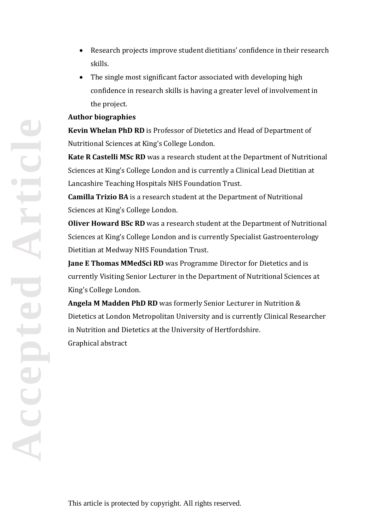- Research projects improve student dietitians' confidence in their research skills.
- The single most significant factor associated with developing high confidence in research skills is having a greater level of involvement in the project.

## **Author biographies**

**Kevin Whelan PhD RD** is Professor of Dietetics and Head of Department of Nutritional Sciences at King's College London.

**Kate R Castelli MSc RD** was a research student at the Department of Nutritional Sciences at King's College London and is currently a Clinical Lead Dietitian at Lancashire Teaching Hospitals NHS Foundation Trust.

**Camilla Trizio BA** is a research student at the Department of Nutritional Sciences at King's College London.

**Oliver Howard BSc RD** was a research student at the Department of Nutritional Sciences at King's College London and is currently Specialist Gastroenterology Dietitian at Medway NHS Foundation Trust.

**Jane E Thomas MMedSci RD** was Programme Director for Dietetics and is currently Visiting Senior Lecturer in the Department of Nutritional Sciences at King's College London.

**Angela M Madden PhD RD** was formerly Senior Lecturer in Nutrition & Dietetics at London Metropolitan University and is currently Clinical Researcher in Nutrition and Dietetics at the University of Hertfordshire. Graphical abstract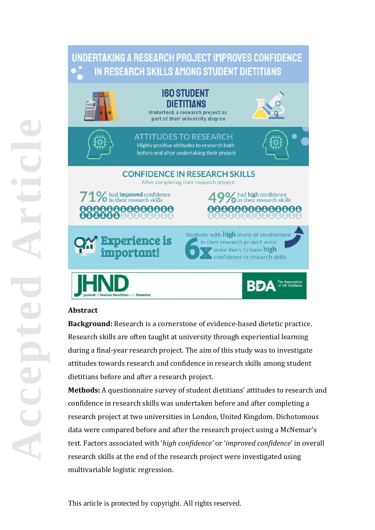# UNDERTAKING A RESEARCH PROJECT IMPROVES CONFIDENCE IN RESEARCH SKILLS AMONG STUDENT DIETITIANS



# **Abstract**

**Background:** Research is a cornerstone of evidence-based dietetic practice. Research skills are often taught at university through experiential learning during a final-year research project. The aim of this study was to investigate attitudes towards research and confidence in research skills among student dietitians before and after a research project.

**Methods:** A questionnaire survey of student dietitians' attitudes to research and confidence in research skills was undertaken before and after completing a research project at two universities in London, United Kingdom. Dichotomous data were compared before and after the research project using a McNemar's test. Factors associated with '*high confidence'* or '*improved confidence*' in overall research skills at the end of the research project were investigated using multivariable logistic regression.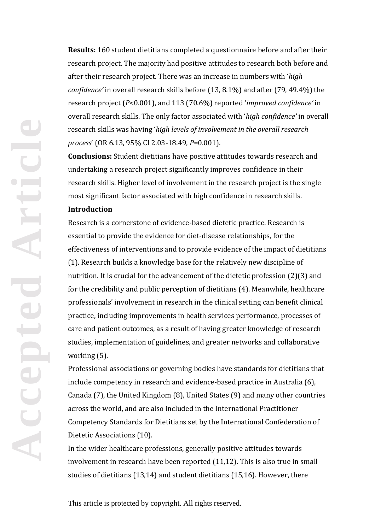**Results:** 160 student dietitians completed a questionnaire before and after their research project. The majority had positive attitudes to research both before and after their research project. There was an increase in numbers with '*high confidence'* in overall research skills before (13, 8.1%) and after (79, 49.4%) the research project (*P*<0.001), and 113 (70.6%) reported '*improved confidence'* in overall research skills. The only factor associated with '*high confidence'* in overall research skills was having '*high levels of involvement in the overall research process*' (OR 6.13, 95% CI 2.03-18.49, *P*=0.001).

**Conclusions:** Student dietitians have positive attitudes towards research and undertaking a research project significantly improves confidence in their research skills. Higher level of involvement in the research project is the single most significant factor associated with high confidence in research skills.

#### **Introduction**

Research is a cornerstone of evidence-based dietetic practice. Research is essential to provide the evidence for diet-disease relationships, for the effectiveness of interventions and to provide evidence of the impact of dietitians (1). Research builds a knowledge base for the relatively new discipline of nutrition. It is crucial for the advancement of the dietetic profession (2)(3) and for the credibility and public perception of dietitians (4). Meanwhile, healthcare professionals' involvement in research in the clinical setting can benefit clinical practice, including improvements in health services performance, processes of care and patient outcomes, as a result of having greater knowledge of research studies, implementation of guidelines, and greater networks and collaborative working (5).

Professional associations or governing bodies have standards for dietitians that include competency in research and evidence-based practice in Australia (6), Canada (7), the United Kingdom (8), United States (9) and many other countries across the world, and are also included in the International Practitioner Competency Standards for Dietitians set by the International Confederation of Dietetic Associations (10).

In the wider healthcare professions, generally positive attitudes towards involvement in research have been reported (11,12). This is also true in small studies of dietitians (13,14) and student dietitians (15,16). However, there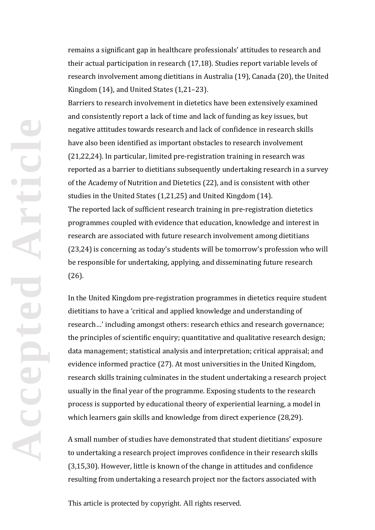remains a significant gap in healthcare professionals' attitudes to research and their actual participation in research (17,18). Studies report variable levels of research involvement among dietitians in Australia (19), Canada (20), the United Kingdom (14), and United States (1,21–23).

Barriers to research involvement in dietetics have been extensively examined and consistently report a lack of time and lack of funding as key issues, but negative attitudes towards research and lack of confidence in research skills have also been identified as important obstacles to research involvement (21,22,24). In particular, limited pre-registration training in research was reported as a barrier to dietitians subsequently undertaking research in a survey of the Academy of Nutrition and Dietetics (22), and is consistent with other studies in the United States (1,21,25) and United Kingdom (14). The reported lack of sufficient research training in pre-registration dietetics programmes coupled with evidence that education, knowledge and interest in research are associated with future research involvement among dietitians (23,24) is concerning as today's students will be tomorrow's profession who will be responsible for undertaking, applying, and disseminating future research (26).

In the United Kingdom pre-registration programmes in dietetics require student dietitians to have a 'critical and applied knowledge and understanding of research…' including amongst others: research ethics and research governance; the principles of scientific enquiry; quantitative and qualitative research design; data management; statistical analysis and interpretation; critical appraisal; and evidence informed practice (27). At most universities in the United Kingdom, research skills training culminates in the student undertaking a research project usually in the final year of the programme. Exposing students to the research process is supported by educational theory of experiential learning, a model in which learners gain skills and knowledge from direct experience (28,29).

A small number of studies have demonstrated that student dietitians' exposure to undertaking a research project improves confidence in their research skills (3,15,30). However, little is known of the change in attitudes and confidence resulting from undertaking a research project nor the factors associated with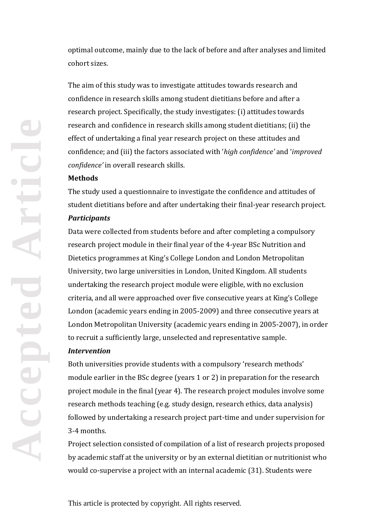optimal outcome, mainly due to the lack of before and after analyses and limited cohort sizes.

The aim of this study was to investigate attitudes towards research and confidence in research skills among student dietitians before and after a research project. Specifically, the study investigates: (i) attitudes towards research and confidence in research skills among student dietitians; (ii) the effect of undertaking a final year research project on these attitudes and confidence; and (iii) the factors associated with '*high confidence'* and '*improved confidence'* in overall research skills.

#### **Methods**

The study used a questionnaire to investigate the confidence and attitudes of student dietitians before and after undertaking their final-year research project.

#### *Participants*

Data were collected from students before and after completing a compulsory research project module in their final year of the 4-year BSc Nutrition and Dietetics programmes at King's College London and London Metropolitan University, two large universities in London, United Kingdom. All students undertaking the research project module were eligible, with no exclusion criteria, and all were approached over five consecutive years at King's College London (academic years ending in 2005-2009) and three consecutive years at London Metropolitan University (academic years ending in 2005-2007), in order to recruit a sufficiently large, unselected and representative sample.

#### *Intervention*

Both universities provide students with a compulsory 'research methods' module earlier in the BSc degree (years 1 or 2) in preparation for the research project module in the final (year 4). The research project modules involve some research methods teaching (e.g. study design, research ethics, data analysis) followed by undertaking a research project part-time and under supervision for 3-4 months.

Project selection consisted of compilation of a list of research projects proposed by academic staff at the university or by an external dietitian or nutritionist who would co-supervise a project with an internal academic (31). Students were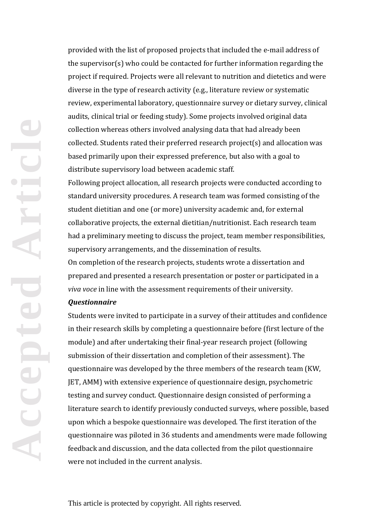provided with the list of proposed projects that included the e-mail address of the supervisor(s) who could be contacted for further information regarding the project if required. Projects were all relevant to nutrition and dietetics and were diverse in the type of research activity (e.g., literature review or systematic review, experimental laboratory, questionnaire survey or dietary survey, clinical audits, clinical trial or feeding study). Some projects involved original data collection whereas others involved analysing data that had already been collected. Students rated their preferred research project(s) and allocation was based primarily upon their expressed preference, but also with a goal to distribute supervisory load between academic staff.

Following project allocation, all research projects were conducted according to standard university procedures. A research team was formed consisting of the student dietitian and one (or more) university academic and, for external collaborative projects, the external dietitian/nutritionist. Each research team had a preliminary meeting to discuss the project, team member responsibilities, supervisory arrangements, and the dissemination of results.

On completion of the research projects, students wrote a dissertation and prepared and presented a research presentation or poster or participated in a *viva voce* in line with the assessment requirements of their university.

## *Questionnaire*

Students were invited to participate in a survey of their attitudes and confidence in their research skills by completing a questionnaire before (first lecture of the module) and after undertaking their final-year research project (following submission of their dissertation and completion of their assessment). The questionnaire was developed by the three members of the research team (KW, JET, AMM) with extensive experience of questionnaire design, psychometric testing and survey conduct. Questionnaire design consisted of performing a literature search to identify previously conducted surveys, where possible, based upon which a bespoke questionnaire was developed. The first iteration of the questionnaire was piloted in 36 students and amendments were made following feedback and discussion, and the data collected from the pilot questionnaire were not included in the current analysis.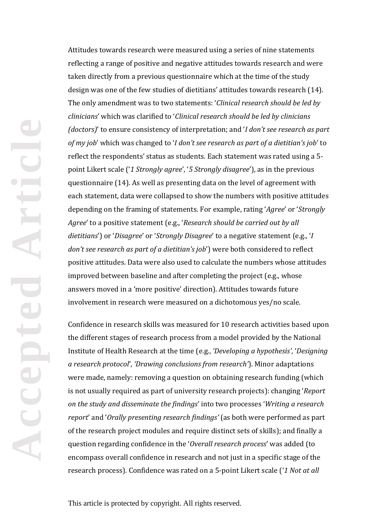Attitudes towards research were measured using a series of nine statements reflecting a range of positive and negative attitudes towards research and were taken directly from a previous questionnaire which at the time of the study design was one of the few studies of dietitians' attitudes towards research (14). The only amendment was to two statements: '*Clinical research should be led by clinicians*' which was clarified to '*Clinical research should be led by clinicians (doctors)*' to ensure consistency of interpretation; and '*I don't see research as part of my job*' which was changed to '*I don't see research as part of a dietitian's job*' to reflect the respondents' status as students. Each statement was rated using a 5 point Likert scale ('*1 Strongly agree*', '*5 Strongly disagree*'), as in the previous questionnaire (14). As well as presenting data on the level of agreement with each statement, data were collapsed to show the numbers with positive attitudes depending on the framing of statements. For example, rating '*Agree*' or '*Strongly Agree*' to a positive statement (e.g., '*Research should be carried out by all dietitians*') or '*Disagree*' or '*Strongly Disagree*' to a negative statement (e.g., '*I don't see research as part of a dietitian's job*') were both considered to reflect positive attitudes. Data were also used to calculate the numbers whose attitudes improved between baseline and after completing the project (e.g., whose answers moved in a 'more positive' direction). Attitudes towards future involvement in research were measured on a dichotomous yes/no scale.

Confidence in research skills was measured for 10 research activities based upon the different stages of research process from a model provided by the National Institute of Health Research at the time (e.g., *'Developing a hypothesis'*, '*Designing a research protocol*', *'Drawing conclusions from research'*). Minor adaptations were made, namely: removing a question on obtaining research funding (which is not usually required as part of university research projects): changing '*Report on the study and disseminate the findings*' into two processes '*Writing a research report*' and '*Orally presenting research findings'* (as both were performed as part of the research project modules and require distinct sets of skills); and finally a question regarding confidence in the '*Overall research process*' was added (to encompass overall confidence in research and not just in a specific stage of the research process). Confidence was rated on a 5-point Likert scale ('*1 Not at all*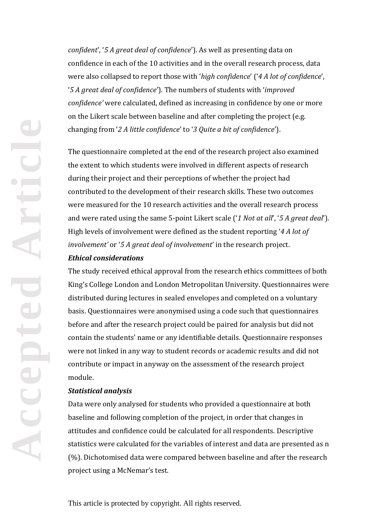*confident*', '*5 A great deal of confidence*'). As well as presenting data on confidence in each of the 10 activities and in the overall research process, data were also collapsed to report those with '*high confidence*' ('*4 A lot of confidence*', '*5 A great deal of confidence*'). The numbers of students with '*improved confidence'* were calculated, defined as increasing in confidence by one or more on the Likert scale between baseline and after completing the project (e.g. changing from '*2 A little confidence*' to '*3 Quite a bit of confidence*').

The questionnaire completed at the end of the research project also examined the extent to which students were involved in different aspects of research during their project and their perceptions of whether the project had contributed to the development of their research skills. These two outcomes were measured for the 10 research activities and the overall research process and were rated using the same 5-point Likert scale ('*1 Not at all*', '*5 A great deal*'). High levels of involvement were defined as the student reporting '*4 A lot of involvement'* or '*5 A great deal of involvement*' in the research project.

#### *Ethical considerations*

The study received ethical approval from the research ethics committees of both King's College London and London Metropolitan University. Questionnaires were distributed during lectures in sealed envelopes and completed on a voluntary basis. Questionnaires were anonymised using a code such that questionnaires before and after the research project could be paired for analysis but did not contain the students' name or any identifiable details. Questionnaire responses were not linked in any way to student records or academic results and did not contribute or impact in anyway on the assessment of the research project module.

## *Statistical analysis*

Data were only analysed for students who provided a questionnaire at both baseline and following completion of the project, in order that changes in attitudes and confidence could be calculated for all respondents. Descriptive statistics were calculated for the variables of interest and data are presented as n (%). Dichotomised data were compared between baseline and after the research project using a McNemar's test.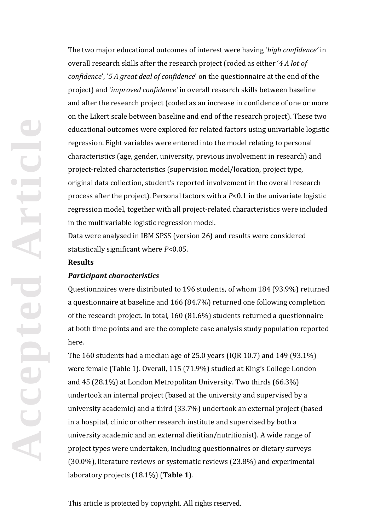**Accepted Article** PCCEDI

The two major educational outcomes of interest were having '*high confidence'* in overall research skills after the research project (coded as either '*4 A lot of confidence*', '*5 A great deal of confidence*' on the questionnaire at the end of the project) and '*improved confidence'* in overall research skills between baseline and after the research project (coded as an increase in confidence of one or more on the Likert scale between baseline and end of the research project). These two educational outcomes were explored for related factors using univariable logistic regression. Eight variables were entered into the model relating to personal characteristics (age, gender, university, previous involvement in research) and project-related characteristics (supervision model/location, project type, original data collection, student's reported involvement in the overall research process after the project). Personal factors with a *P*<0.1 in the univariate logistic regression model, together with all project-related characteristics were included in the multivariable logistic regression model.

Data were analysed in IBM SPSS (version 26) and results were considered statistically significant where *P*<0.05.

#### **Results**

## *Participant characteristics*

Questionnaires were distributed to 196 students, of whom 184 (93.9%) returned a questionnaire at baseline and 166 (84.7%) returned one following completion of the research project. In total, 160 (81.6%) students returned a questionnaire at both time points and are the complete case analysis study population reported here.

The 160 students had a median age of 25.0 years (IQR 10.7) and 149 (93.1%) were female (Table 1). Overall, 115 (71.9%) studied at King's College London and 45 (28.1%) at London Metropolitan University. Two thirds (66.3%) undertook an internal project (based at the university and supervised by a university academic) and a third (33.7%) undertook an external project (based in a hospital, clinic or other research institute and supervised by both a university academic and an external dietitian/nutritionist). A wide range of project types were undertaken, including questionnaires or dietary surveys (30.0%), literature reviews or systematic reviews (23.8%) and experimental laboratory projects (18.1%) (**Table 1**).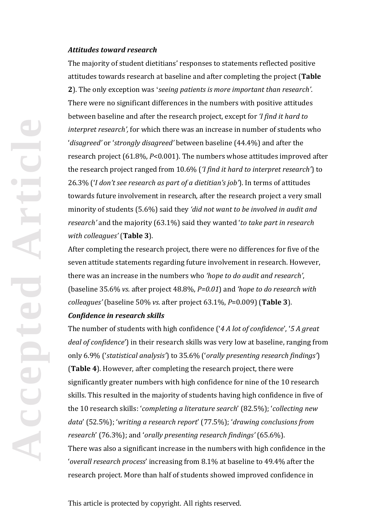#### *Attitudes toward research*

The majority of student dietitians' responses to statements reflected positive attitudes towards research at baseline and after completing the project (**Table 2**). The only exception was '*seeing patients is more important than research'*. There were no significant differences in the numbers with positive attitudes between baseline and after the research project, except for *'I find it hard to interpret research',* for which there was an increase in number of students who '*disagreed'* or '*strongly disagreed'* between baseline (44.4%) and after the research project (61.8%, *P*<0.001). The numbers whose attitudes improved after the research project ranged from 10.6% (*'I find it hard to interpret research'*) to 26.3% ('*I don't see research as part of a dietitian's job'*). In terms of attitudes towards future involvement in research, after the research project a very small minority of students (5.6%) said they *'did not want to be involved in audit and research'* and the majority (63.1%) said they wanted '*to take part in research with colleagues'* (**Table 3**).

After completing the research project, there were no differences for five of the seven attitude statements regarding future involvement in research. However, there was an increase in the numbers who *'hope to do audit and research'*, (baseline 35.6% *vs*. after project 48.8%, *P=0.01*) and *'hope to do research with colleagues'* (baseline 50% *vs*. after project 63.1%, *P*=0.009) (**Table 3**). *Confidence in research skills*

The number of students with high confidence ('*4 A lot of confidence*', '*5 A great deal of confidence*') in their research skills was very low at baseline, ranging from only 6.9% ('*statistical analysis'*) to 35.6% ('*orally presenting research findings'*) (**Table 4**). However, after completing the research project, there were significantly greater numbers with high confidence for nine of the 10 research skills. This resulted in the majority of students having high confidence in five of the 10 research skills: '*completing a literature search*' (82.5%); '*collecting new data*' (52.5%); '*writing a research report*' (77.5%); '*drawing conclusions from research*' (76.3%); and '*orally presenting research findings'* (65.6%). There was also a significant increase in the numbers with high confidence in the '*overall research process*' increasing from 8.1% at baseline to 49.4% after the research project. More than half of students showed improved confidence in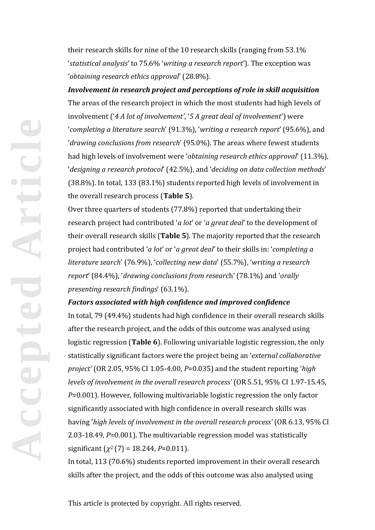their research skills for nine of the 10 research skills (ranging from 53.1% '*statistical analysis*' to 75.6% '*writing a research report*'). The exception was '*obtaining research ethics approval*' (28.8%).

*Involvement in research project and perceptions of role in skill acquisition* The areas of the research project in which the most students had high levels of involvement ('*4 A lot of involvement'*, '*5 A great deal of involvement*') were '*completing a literature search*' (91.3%), '*writing a research report*' (95.6%), and '*drawing conclusions from research*' (95.0%). The areas where fewest students had high levels of involvement were '*obtaining research ethics approval*' (11.3%), '*designing a research protocol*' (42.5%), and '*deciding on data collection methods*' (38.8%). In total, 133 (83.1%) students reported high levels of involvement in the overall research process (**Table 5**).

Over three quarters of students (77.8%) reported that undertaking their research project had contributed '*a lot*' or '*a great deal*' to the development of their overall research skills (**Table 5**). The majority reported that the research project had contributed '*a lot*' or '*a great deal*' to their skills in: '*completing a literature search*' (76.9%), '*collecting new data*' (55.7%), '*writing a research report*' (84.4%), '*drawing conclusions from researc*h' (78.1%) and '*orally presenting research findings*' (63.1%).

## *Factors associated with high confidence and improved confidence*

In total, 79 (49.4%) students had high confidence in their overall research skills after the research project, and the odds of this outcome was analysed using logistic regression (**Table 6**). Following univariable logistic regression, the only statistically significant factors were the project being an '*external collaborative project'* (OR 2.05, 95% CI 1.05-4.00, *P*=0.035) and the student reporting '*high levels of involvement in the overall research process'* (OR 5.51, 95% CI 1.97-15.45, *P*=0.001). However, following multivariable logistic regression the only factor significantly associated with high confidence in overall research skills was having '*high levels of involvement in the overall research process'* (OR 6.13, 95% CI 2.03-18.49, *P*=0.001). The multivariable regression model was statistically significant  $(\chi^2(7) = 18.244, P=0.011)$ .

In total, 113 (70.6%) students reported improvement in their overall research skills after the project, and the odds of this outcome was also analysed using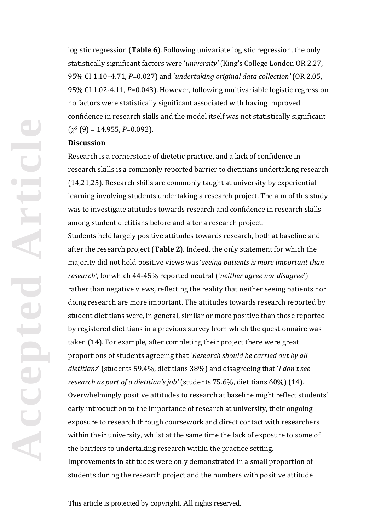logistic regression (**Table 6**). Following univariate logistic regression, the only statistically significant factors were '*university'* (King's College London OR 2.27, 95% CI 1.10–4.71, *P*=0.027) and '*undertaking original data collection'* (OR 2.05, 95% CI 1.02-4.11, *P*=0.043). However, following multivariable logistic regression no factors were statistically significant associated with having improved confidence in research skills and the model itself was not statistically significant  $(\chi^2(9) = 14.955, P=0.092)$ .

#### **Discussion**

Research is a cornerstone of dietetic practice, and a lack of confidence in research skills is a commonly reported barrier to dietitians undertaking research (14,21,25). Research skills are commonly taught at university by experiential learning involving students undertaking a research project. The aim of this study was to investigate attitudes towards research and confidence in research skills among student dietitians before and after a research project.

Students held largely positive attitudes towards research, both at baseline and after the research project (**Table 2**). Indeed, the only statement for which the majority did not hold positive views was '*seeing patients is more important than research'*, for which 44-45% reported neutral ('*neither agree nor disagree*') rather than negative views, reflecting the reality that neither seeing patients nor doing research are more important. The attitudes towards research reported by student dietitians were, in general, similar or more positive than those reported by registered dietitians in a previous survey from which the questionnaire was taken (14). For example, after completing their project there were great proportions of students agreeing that '*Research should be carried out by all dietitians*' (students 59.4%, dietitians 38%) and disagreeing that '*I don't see research as part of a dietitian's job'* (students 75.6%, dietitians 60%) (14). Overwhelmingly positive attitudes to research at baseline might reflect students' early introduction to the importance of research at university, their ongoing exposure to research through coursework and direct contact with researchers within their university, whilst at the same time the lack of exposure to some of the barriers to undertaking research within the practice setting. Improvements in attitudes were only demonstrated in a small proportion of students during the research project and the numbers with positive attitude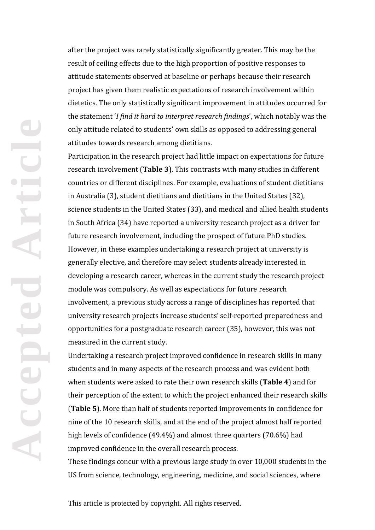after the project was rarely statistically significantly greater. This may be the result of ceiling effects due to the high proportion of positive responses to attitude statements observed at baseline or perhaps because their research project has given them realistic expectations of research involvement within dietetics. The only statistically significant improvement in attitudes occurred for the statement '*I find it hard to interpret research findings*', which notably was the only attitude related to students' own skills as opposed to addressing general attitudes towards research among dietitians.

Participation in the research project had little impact on expectations for future research involvement (**Table 3**). This contrasts with many studies in different countries or different disciplines. For example, evaluations of student dietitians in Australia (3), student dietitians and dietitians in the United States (32), science students in the United States (33), and medical and allied health students in South Africa (34) have reported a university research project as a driver for future research involvement, including the prospect of future PhD studies. However, in these examples undertaking a research project at university is generally elective, and therefore may select students already interested in developing a research career, whereas in the current study the research project module was compulsory. As well as expectations for future research involvement, a previous study across a range of disciplines has reported that university research projects increase students' self-reported preparedness and opportunities for a postgraduate research career (35), however, this was not measured in the current study.

Undertaking a research project improved confidence in research skills in many students and in many aspects of the research process and was evident both when students were asked to rate their own research skills (**Table 4**) and for their perception of the extent to which the project enhanced their research skills (**Table 5**). More than half of students reported improvements in confidence for nine of the 10 research skills, and at the end of the project almost half reported high levels of confidence (49.4%) and almost three quarters (70.6%) had improved confidence in the overall research process.

These findings concur with a previous large study in over 10,000 students in the US from science, technology, engineering, medicine, and social sciences, where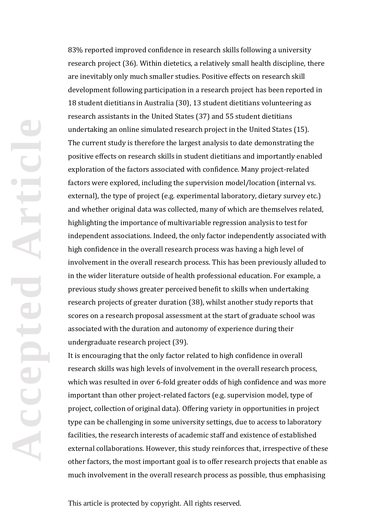83% reported improved confidence in research skills following a university research project (36). Within dietetics, a relatively small health discipline, there are inevitably only much smaller studies. Positive effects on research skill development following participation in a research project has been reported in 18 student dietitians in Australia (30), 13 student dietitians volunteering as research assistants in the United States (37) and 55 student dietitians undertaking an online simulated research project in the United States (15). The current study is therefore the largest analysis to date demonstrating the positive effects on research skills in student dietitians and importantly enabled exploration of the factors associated with confidence. Many project-related factors were explored, including the supervision model/location (internal vs. external), the type of project (e.g. experimental laboratory, dietary survey etc.) and whether original data was collected, many of which are themselves related, highlighting the importance of multivariable regression analysis to test for independent associations. Indeed, the only factor independently associated with high confidence in the overall research process was having a high level of involvement in the overall research process. This has been previously alluded to in the wider literature outside of health professional education. For example, a previous study shows greater perceived benefit to skills when undertaking research projects of greater duration (38), whilst another study reports that scores on a research proposal assessment at the start of graduate school was associated with the duration and autonomy of experience during their undergraduate research project (39).

It is encouraging that the only factor related to high confidence in overall research skills was high levels of involvement in the overall research process, which was resulted in over 6-fold greater odds of high confidence and was more important than other project-related factors (e.g. supervision model, type of project, collection of original data). Offering variety in opportunities in project type can be challenging in some university settings, due to access to laboratory facilities, the research interests of academic staff and existence of established external collaborations. However, this study reinforces that, irrespective of these other factors, the most important goal is to offer research projects that enable as much involvement in the overall research process as possible, thus emphasising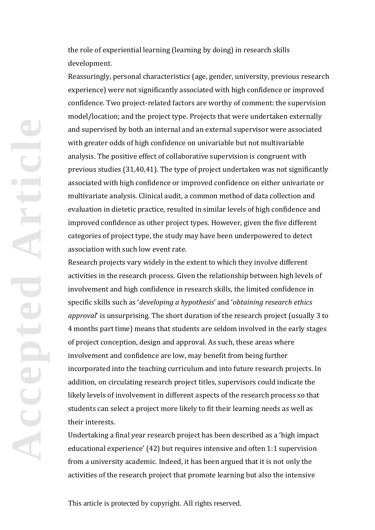the role of experiential learning (learning by doing) in research skills development.

Reassuringly, personal characteristics (age, gender, university, previous research experience) were not significantly associated with high confidence or improved confidence. Two project-related factors are worthy of comment: the supervision model/location; and the project type. Projects that were undertaken externally and supervised by both an internal and an external supervisor were associated with greater odds of high confidence on univariable but not multivariable analysis. The positive effect of collaborative supervision is congruent with previous studies (31,40,41). The type of project undertaken was not significantly associated with high confidence or improved confidence on either univariate or multivariate analysis. Clinical audit, a common method of data collection and evaluation in dietetic practice, resulted in similar levels of high confidence and improved confidence as other project types. However, given the five different categories of project type, the study may have been underpowered to detect association with such low event rate.

Research projects vary widely in the extent to which they involve different activities in the research process. Given the relationship between high levels of involvement and high confidence in research skills, the limited confidence in specific skills such as '*developing a hypothesis*' and '*obtaining research ethics approval*' is unsurprising. The short duration of the research project (usually 3 to 4 months part time) means that students are seldom involved in the early stages of project conception, design and approval. As such, these areas where involvement and confidence are low, may benefit from being further incorporated into the teaching curriculum and into future research projects. In addition, on circulating research project titles, supervisors could indicate the likely levels of involvement in different aspects of the research process so that students can select a project more likely to fit their learning needs as well as their interests.

Undertaking a final year research project has been described as a 'high impact educational experience' (42) but requires intensive and often 1:1 supervision from a university academic. Indeed, it has been argued that it is not only the activities of the research project that promote learning but also the intensive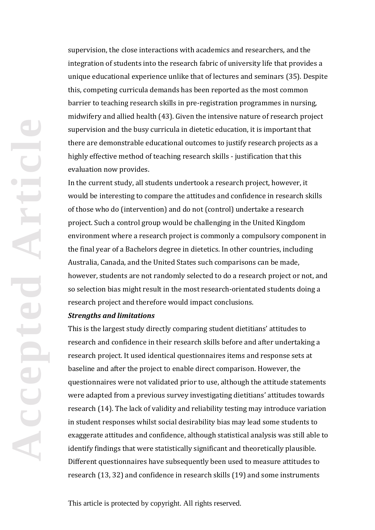supervision, the close interactions with academics and researchers, and the integration of students into the research fabric of university life that provides a unique educational experience unlike that of lectures and seminars (35). Despite this, competing curricula demands has been reported as the most common barrier to teaching research skills in pre-registration programmes in nursing, midwifery and allied health (43). Given the intensive nature of research project supervision and the busy curricula in dietetic education, it is important that there are demonstrable educational outcomes to justify research projects as a highly effective method of teaching research skills - justification that this evaluation now provides.

In the current study, all students undertook a research project, however, it would be interesting to compare the attitudes and confidence in research skills of those who do (intervention) and do not (control) undertake a research project. Such a control group would be challenging in the United Kingdom environment where a research project is commonly a compulsory component in the final year of a Bachelors degree in dietetics. In other countries, including Australia, Canada, and the United States such comparisons can be made, however, students are not randomly selected to do a research project or not, and so selection bias might result in the most research-orientated students doing a research project and therefore would impact conclusions.

#### *Strengths and limitations*

**Accepted Article**

ptc

This is the largest study directly comparing student dietitians' attitudes to research and confidence in their research skills before and after undertaking a research project. It used identical questionnaires items and response sets at baseline and after the project to enable direct comparison. However, the questionnaires were not validated prior to use, although the attitude statements were adapted from a previous survey investigating dietitians' attitudes towards research (14). The lack of validity and reliability testing may introduce variation in student responses whilst social desirability bias may lead some students to exaggerate attitudes and confidence, although statistical analysis was still able to identify findings that were statistically significant and theoretically plausible. Different questionnaires have subsequently been used to measure attitudes to research (13, 32) and confidence in research skills (19) and some instruments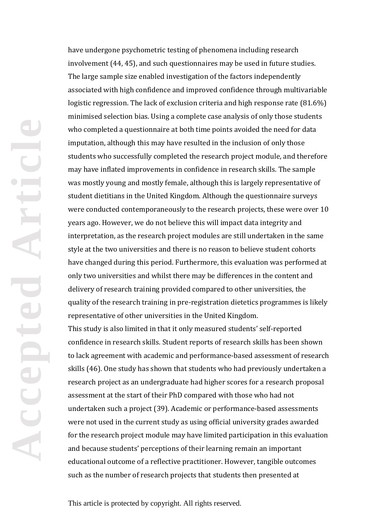have undergone psychometric testing of phenomena including research involvement (44, 45), and such questionnaires may be used in future studies. The large sample size enabled investigation of the factors independently associated with high confidence and improved confidence through multivariable logistic regression. The lack of exclusion criteria and high response rate (81.6%) minimised selection bias. Using a complete case analysis of only those students who completed a questionnaire at both time points avoided the need for data imputation, although this may have resulted in the inclusion of only those students who successfully completed the research project module, and therefore may have inflated improvements in confidence in research skills. The sample was mostly young and mostly female, although this is largely representative of student dietitians in the United Kingdom. Although the questionnaire surveys were conducted contemporaneously to the research projects, these were over 10 years ago. However, we do not believe this will impact data integrity and interpretation, as the research project modules are still undertaken in the same style at the two universities and there is no reason to believe student cohorts have changed during this period. Furthermore, this evaluation was performed at only two universities and whilst there may be differences in the content and delivery of research training provided compared to other universities, the quality of the research training in pre-registration dietetics programmes is likely representative of other universities in the United Kingdom.

This study is also limited in that it only measured students' self-reported confidence in research skills. Student reports of research skills has been shown to lack agreement with academic and performance-based assessment of research skills (46). One study has shown that students who had previously undertaken a research project as an undergraduate had higher scores for a research proposal assessment at the start of their PhD compared with those who had not undertaken such a project (39). Academic or performance-based assessments were not used in the current study as using official university grades awarded for the research project module may have limited participation in this evaluation and because students' perceptions of their learning remain an important educational outcome of a reflective practitioner. However, tangible outcomes such as the number of research projects that students then presented at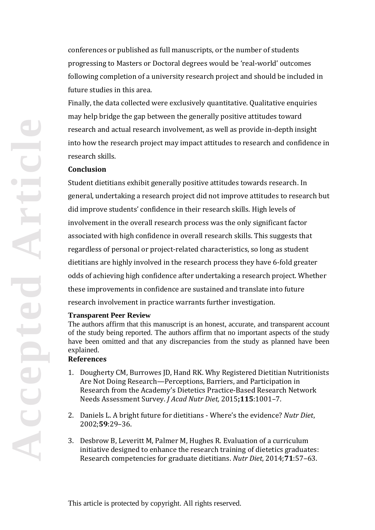conferences or published as full manuscripts, or the number of students progressing to Masters or Doctoral degrees would be 'real-world' outcomes following completion of a university research project and should be included in future studies in this area.

Finally, the data collected were exclusively quantitative. Qualitative enquiries may help bridge the gap between the generally positive attitudes toward research and actual research involvement, as well as provide in-depth insight into how the research project may impact attitudes to research and confidence in research skills.

#### **Conclusion**

Student dietitians exhibit generally positive attitudes towards research. In general, undertaking a research project did not improve attitudes to research but did improve students' confidence in their research skills. High levels of involvement in the overall research process was the only significant factor associated with high confidence in overall research skills. This suggests that regardless of personal or project-related characteristics, so long as student dietitians are highly involved in the research process they have 6-fold greater odds of achieving high confidence after undertaking a research project. Whether these improvements in confidence are sustained and translate into future research involvement in practice warrants further investigation.

#### **Transparent Peer Review**

The authors affirm that this manuscript is an honest, accurate, and transparent account of the study being reported. The authors affirm that no important aspects of the study have been omitted and that any discrepancies from the study as planned have been explained.

## **References**

- 1. Dougherty CM, Burrowes JD, Hand RK. Why Registered Dietitian Nutritionists Are Not Doing Research—Perceptions, Barriers, and Participation in Research from the Academy's Dietetics Practice-Based Research Network Needs Assessment Survey. *J Acad Nutr Diet,* 2015**;115**:1001–7.
- 2. Daniels L. A bright future for dietitians Where's the evidence? *Nutr Diet*, 2002;**59**:29–36.
- 3. Desbrow B, Leveritt M, Palmer M, Hughes R. Evaluation of a curriculum initiative designed to enhance the research training of dietetics graduates: Research competencies for graduate dietitians. *Nutr Diet*, 2014;**71**:57–63.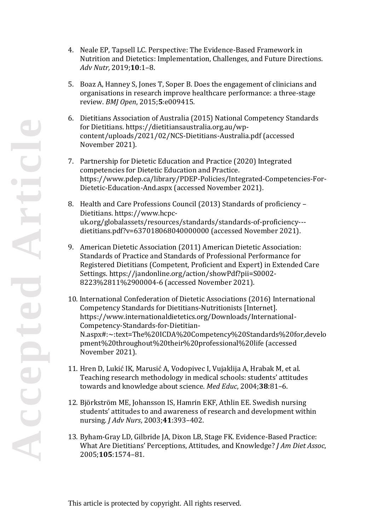- 4. Neale EP, Tapsell LC. Perspective: The Evidence-Based Framework in Nutrition and Dietetics: Implementation, Challenges, and Future Directions. *Adv Nutr,* 2019;**10**:1–8.
- 5. Boaz A, Hanney S, Jones T, Soper B. Does the engagement of clinicians and organisations in research improve healthcare performance: a three-stage review. *BMJ Open*, 2015;**5**:e009415.
- 6. Dietitians Association of Australia (2015) National Competency Standards for Dietitians. https://dietitiansaustralia.org.au/wpcontent/uploads/2021/02/NCS-Dietitians-Australia.pdf (accessed November 2021).
- 7. Partnership for Dietetic Education and Practice (2020) Integrated competencies for Dietetic Education and Practice. https://www.pdep.ca/library/PDEP-Policies/Integrated-Competencies-For-Dietetic-Education-And.aspx (accessed November 2021).
- 8. Health and Care Professions Council (2013) Standards of proficiency Dietitians. https://www.hcpcuk.org/globalassets/resources/standards/standards-of-proficiency-- dietitians.pdf?v=637018068040000000 (accessed November 2021).
- 9. American Dietetic Association (2011) American Dietetic Association: Standards of Practice and Standards of Professional Performance for Registered Dietitians (Competent, Proficient and Expert) in Extended Care Settings. https://jandonline.org/action/showPdf?pii=S0002- 8223%2811%2900004-6 (accessed November 2021).
- 10. International Confederation of Dietetic Associations (2016) International Competency Standards for Dietitians-Nutritionists [Internet]. https://www.internationaldietetics.org/Downloads/International-Competency-Standards-for-Dietitian-N.aspx#:~:text=The%20ICDA%20Competency%20Standards%20for,develo pment%20throughout%20their%20professional%20life (accessed November 2021).
- 11. Hren D, Lukić IK, Marusić A, Vodopivec I, Vujaklija A, Hrabak M, et al. Teaching research methodology in medical schools: students' attitudes towards and knowledge about science. *Med Educ*, 2004;**38**:81–6.
- 12. Björkström ME, Johansson IS, Hamrin EKF, Athlin EE. Swedish nursing students' attitudes to and awareness of research and development within nursing. *J Adv Nurs*, 2003;**41**:393–402.
- 13. Byham-Gray LD, Gilbride JA, Dixon LB, Stage FK. Evidence-Based Practice: What Are Dietitians' Perceptions, Attitudes, and Knowledge? *J Am Diet Assoc*, 2005;**105**:1574–81.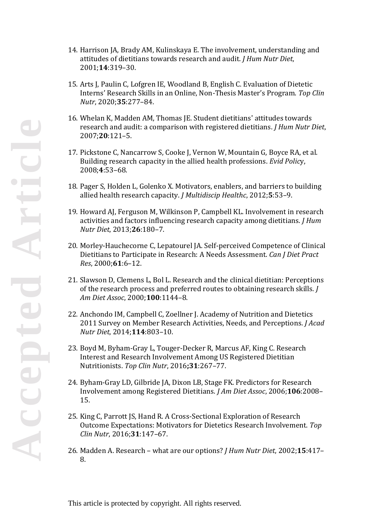- 14. Harrison JA, Brady AM, Kulinskaya E. The involvement, understanding and attitudes of dietitians towards research and audit. *J Hum Nutr Diet*, 2001;**14**:319–30.
- 15. Arts J, Paulin C, Lofgren IE, Woodland B, English C. Evaluation of Dietetic Interns' Research Skills in an Online, Non-Thesis Master's Program. *Top Clin Nutr*, 2020;**35**:277–84.
- 16. Whelan K, Madden AM, Thomas JE. Student dietitians' attitudes towards research and audit: a comparison with registered dietitians. *J Hum Nutr Diet*, 2007;**20**:121–5.
- 17. Pickstone C, Nancarrow S, Cooke J, Vernon W, Mountain G, Boyce RA, et al. Building research capacity in the allied health professions. *Evid Polic*y, 2008;**4**:53–68.
- 18. Pager S, Holden L, Golenko X. Motivators, enablers, and barriers to building allied health research capacity. *J Multidiscip Healthc*, 2012;**5**:53–9.
- 19. Howard AJ, Ferguson M, Wilkinson P, Campbell KL. Involvement in research activities and factors influencing research capacity among dietitians. *J Hum Nutr Diet*, 2013;**26**:180–7.
- 20. Morley-Hauchecorne C, Lepatourel JA. Self-perceived Competence of Clinical Dietitians to Participate in Research: A Needs Assessment. *Can J Diet Pract Res*, 2000;**61**:6–12.
- 21. Slawson D, Clemens L, Bol L. Research and the clinical dietitian: Perceptions of the research process and preferred routes to obtaining research skills. *J Am Diet Assoc*, 2000;**100**:1144–8.
- 22. Anchondo IM, Campbell C, Zoellner J. Academy of Nutrition and Dietetics 2011 Survey on Member Research Activities, Needs, and Perceptions. *J Acad Nutr Diet*, 2014;**114**:803–10.
- 23. Boyd M, Byham-Gray L, Touger-Decker R, Marcus AF, King C. Research Interest and Research Involvement Among US Registered Dietitian Nutritionists. *Top Clin Nutr*, 2016**;31**:267–77.
- 24. Byham-Gray LD, Gilbride JA, Dixon LB, Stage FK. Predictors for Research Involvement among Registered Dietitians. *J Am Diet Assoc*, 2006;**106**:2008– 15.
- 25. King C, Parrott JS, Hand R. A Cross-Sectional Exploration of Research Outcome Expectations: Motivators for Dietetics Research Involvement. *Top Clin Nutr*, 2016;**31**:147–67.
- 26. Madden A. Research what are our options? *J Hum Nutr Diet*, 2002;**15**:417– 8.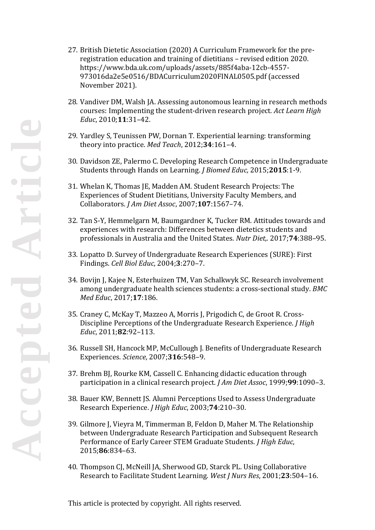- 27. British Dietetic Association (2020) A Curriculum Framework for the preregistration education and training of dietitians – revised edition 2020. https://www.bda.uk.com/uploads/assets/885f4aba-12cb-4557- 973016da2e5e0516/BDACurriculum2020FINAL0505.pdf (accessed November 2021).
- 28. Vandiver DM, Walsh JA. Assessing autonomous learning in research methods courses: Implementing the student-driven research project*. Act Learn High Educ*, 2010;**11**:31–42.
- 29. Yardley S, Teunissen PW, Dornan T. Experiential learning: transforming theory into practice. *Med Teach*, 2012;**34**:161–4.
- 30. Davidson ZE, Palermo C. Developing Research Competence in Undergraduate Students through Hands on Learning. *J Biomed Educ,* 2015;**2015**:1-9.
- 31. Whelan K, Thomas JE, Madden AM. Student Research Projects: The Experiences of Student Dietitians, University Faculty Members, and Collaborators. *J Am Diet Assoc*, 2007;**107**:1567–74.
- 32. Tan S-Y, Hemmelgarn M, Baumgardner K, Tucker RM. Attitudes towards and experiences with research: Differences between dietetics students and professionals in Australia and the United States. *Nutr Diet,.* 2017;**74**:388–95.
- 33. Lopatto D. Survey of Undergraduate Research Experiences (SURE): First Findings. *Cell Biol Educ*, 2004;**3**:270–7.
- 34. Bovijn J, Kajee N, Esterhuizen TM, Van Schalkwyk SC. Research involvement among undergraduate health sciences students: a cross-sectional study. *BMC Med Educ*, 2017;**17**:186.
- 35. Craney C, McKay T, Mazzeo A, Morris J, Prigodich C, de Groot R. Cross-Discipline Perceptions of the Undergraduate Research Experience. *J High Educ*, 2011;**82**:92–113.
- 36. Russell SH, Hancock MP, McCullough J. Benefits of Undergraduate Research Experiences. *Science*, 2007;**316**:548–9.
- 37. Brehm BJ, Rourke KM, Cassell C. Enhancing didactic education through participation in a clinical research project. *J Am Diet Assoc*, 1999;**99**:1090–3.
- 38. Bauer KW, Bennett JS. Alumni Perceptions Used to Assess Undergraduate Research Experience. *J High Educ*, 2003;**74**:210–30.
- 39. Gilmore J, Vieyra M, Timmerman B, Feldon D, Maher M. The Relationship between Undergraduate Research Participation and Subsequent Research Performance of Early Career STEM Graduate Students. *J High Educ*, 2015;**86**:834–63.
- 40. Thompson CJ, McNeill JA, Sherwood GD, Starck PL. Using Collaborative Research to Facilitate Student Learning. *West J Nurs Res*, 2001;**23**:504–16.

tiel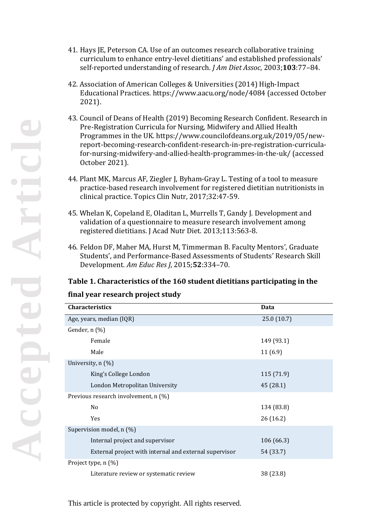- 41. Hays JE, Peterson CA. Use of an outcomes research collaborative training curriculum to enhance entry-level dietitians' and established professionals' self-reported understanding of research. *J Am Diet Assoc*, 2003;**103**:77–84.
- 42. Association of American Colleges & Universities (2014) High-Impact Educational Practices. https://www.aacu.org/node/4084 (accessed October 2021).
- 43. Council of Deans of Health (2019) Becoming Research Confident. Research in Pre-Registration Curricula for Nursing, Midwifery and Allied Health Programmes in the UK. https://www.councilofdeans.org.uk/2019/05/newreport-becoming-research-confident-research-in-pre-registration-curriculafor-nursing-midwifery-and-allied-health-programmes-in-the-uk/ (accessed October 2021).
- 44. Plant MK, Marcus AF, Ziegler J, Byham-Gray L. Testing of a tool to measure practice-based research involvement for registered dietitian nutritionists in clinical practice. Topics Clin Nutr, 2017;32:47-59.
- 45. Whelan K, Copeland E, Oladitan L, Murrells T, Gandy J. Development and validation of a questionnaire to measure research involvement among registered dietitians. J Acad Nutr Diet. 2013;113:563-8.
- 46. Feldon DF, Maher MA, Hurst M, Timmerman B. Faculty Mentors', Graduate Students', and Performance-Based Assessments of Students' Research Skill Development. *Am Educ Res J*, 2015;**52**:334–70.

## **Table 1. Characteristics of the 160 student dietitians participating in the**

#### **final year research project study**

| <b>Characteristics</b>                                 | Data       |
|--------------------------------------------------------|------------|
| Age, years, median (IQR)                               | 25.0(10.7) |
| Gender, n (%)                                          |            |
| Female                                                 | 149 (93.1) |
| Male                                                   | 11(6.9)    |
| University, n (%)                                      |            |
| King's College London                                  | 115 (71.9) |
| London Metropolitan University                         | 45 (28.1)  |
| Previous research involvement, n (%)                   |            |
| No                                                     | 134 (83.8) |
| Yes                                                    | 26(16.2)   |
| Supervision model, n (%)                               |            |
| Internal project and supervisor                        | 106 (66.3) |
| External project with internal and external supervisor | 54 (33.7)  |
| Project type, n (%)                                    |            |
| Literature review or systematic review                 | 38 (23.8)  |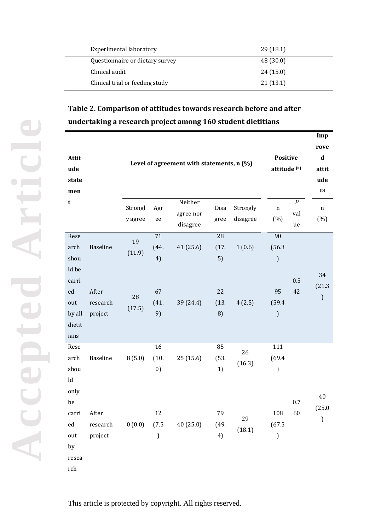| Experimental laboratory         | 29(18.1)  |
|---------------------------------|-----------|
| Questionnaire or dietary survey | 48 (30.0) |
| Clinical audit                  | 24(15.0)  |
| Clinical trial or feeding study | 21(13.1)  |

# **Table 2. Comparison of attitudes towards research before and after undertaking a research project among 160 student dietitians**

| Attit<br>ude<br>state<br>men                                                                                 |                                                 |                              | Level of agreement with statements, n (%) | Positive<br>attitude <sup>(a)</sup> | Imp<br>rove<br>$\mathbf d$<br>attit<br>ude<br>(b) |                              |                                                                                                |                               |                               |
|--------------------------------------------------------------------------------------------------------------|-------------------------------------------------|------------------------------|-------------------------------------------|-------------------------------------|---------------------------------------------------|------------------------------|------------------------------------------------------------------------------------------------|-------------------------------|-------------------------------|
| t                                                                                                            |                                                 | Strongl<br>y agree           | Agr<br>ee                                 | Neither<br>agree nor<br>disagree    | Disa<br>gree                                      | Strongly<br>disagree         | $\mathbf n$<br>(%)                                                                             | $\boldsymbol{P}$<br>val<br>ue | $\mathbf n$<br>(%)            |
| Rese<br>arch<br>shou<br>ld be<br>carri<br>ed<br>out<br>by all<br>dietit<br>ians                              | <b>Baseline</b><br>After<br>research<br>project | 19<br>(11.9)<br>28<br>(17.5) | 71<br>(44.<br>4)<br>67<br>(41.<br>9)      | 41 (25.6)<br>39 (24.4)              | 28<br>(17.<br>5)<br>22<br>(13.<br>8)              | 1(0.6)<br>4(2.5)             | 90<br>(56.3)<br>$\mathcal{L}$<br>95<br>(59.4)<br>$\mathcal{E}$                                 | 0.5<br>42                     | 34<br>(21.3)<br>$\mathcal{E}$ |
| Rese<br>arch<br>shou<br>${\rm Id}$<br>only<br>be<br>carri<br>${\rm ed}$<br>out<br>by<br>resea<br>${\rm rch}$ | Baseline<br>After<br>research<br>project        | 8(5.0)<br>0(0.0)             | 16<br>(10.<br>0)<br>12<br>(7.5)<br>)      | 25(15.6)<br>40 (25.0)               | 85<br>(53.<br>1)<br>79<br>(49.<br>4)              | 26<br>(16.3)<br>29<br>(18.1) | 111<br>(69.4)<br>$\boldsymbol{\boldsymbol{\boldsymbol{\boldsymbol{y}}}}$<br>108<br>(67.5)<br>) | 0.7<br>60                     | 40<br>(25.0)<br>)             |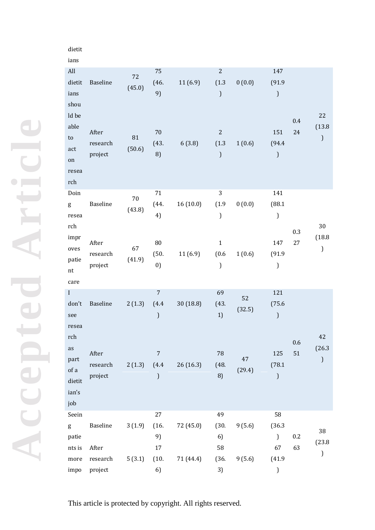# dietit

ians

| All<br>dietit<br>ians<br>shou<br>ld be<br>able<br>to<br>act<br>on | Baseline<br>After<br>research<br>project | 72<br>(45.0)<br>81<br>(50.6) | 75<br>(46.<br>9)<br>$70\,$<br>(43.<br>8) | 11(6.9)<br>6(3.8) | $\overline{c}$<br>(1.3)<br>$\mathfrak{z}$<br>$\overline{c}$<br>(1.3)<br>$\mathcal{L}$ | 0(0.0)<br>1(0.6) | 147<br>(91.9)<br>$\mathfrak{z}$<br>151<br>(94.4)<br>$\mathcal{L}$ | 0.4<br>24 | 22<br>(13.8)<br>$\mathfrak{z}$ |
|-------------------------------------------------------------------|------------------------------------------|------------------------------|------------------------------------------|-------------------|---------------------------------------------------------------------------------------|------------------|-------------------------------------------------------------------|-----------|--------------------------------|
| resea<br>rch<br>Doin                                              |                                          |                              | 71                                       |                   | 3                                                                                     |                  | 141                                                               |           |                                |
| g<br>resea<br>rch                                                 | <b>Baseline</b>                          | 70<br>(43.8)                 | (44.<br>4)                               | 16(10.0)          | (1.9)<br>$\mathfrak{z}$                                                               | 0(0.0)           | (88.1)<br>$\mathfrak{z}$                                          |           | 30                             |
| impr<br>oves<br>patie<br>nt<br>care                               | After<br>research<br>project             | 67<br>(41.9)                 | ${\bf 80}$<br>(50.<br>0)                 | 11(6.9)           | $\mathbf{1}$<br>(0.6)<br>)                                                            | 1(0.6)           | 147<br>(91.9)<br>$\mathcal{E}$                                    | 0.3<br>27 | (18.8)<br>$\mathfrak{z}$       |
| $\mathbf{I}$<br>don't<br>see<br>resea                             | Baseline                                 | 2(1.3)                       | $\overline{7}$<br>(4.4)<br>)             | 30 (18.8)         | 69<br>(43.<br>1)                                                                      | 52<br>(32.5)     | 121<br>(75.6)<br>$\mathcal{E}$                                    |           |                                |
| rch<br>as<br>part<br>of a<br>dietit<br>ian's<br>job               | After<br>research<br>project             | 2(1.3)                       | $\overline{7}$<br>(4.4)<br>$\mathcal{C}$ | 26(16.3)          | ${\bf 78}$<br>(48.<br>8)                                                              | 47<br>(29.4)     | 125<br>(78.1)<br>$\mathcal{E}$                                    | 0.6<br>51 | 42<br>(26.3)<br>$\mathcal{E}$  |
| Seein                                                             |                                          |                              | 27                                       |                   | 49                                                                                    |                  | 58                                                                |           |                                |
| g<br>patie                                                        | Baseline                                 | 3(1.9)                       | (16.<br>9)                               | 72 (45.0)         | (30.<br>6)                                                                            | 9(5.6)           | (36.3)<br>$\mathcal{L}$                                           | 0.2       | 38<br>(23.8)                   |
| nts is                                                            | After                                    |                              | 17                                       |                   | 58                                                                                    |                  | 67                                                                | 63        | )                              |
| more<br>impo                                                      | research<br>project                      | 5(3.1)                       | (10.<br>6)                               | 71 (44.4)         | (36.<br>3)                                                                            | 9(5.6)           | (41.9)<br>$\mathbf{I}$                                            |           |                                |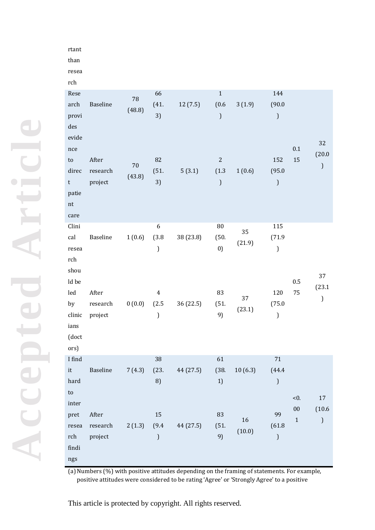#### rtant

than

resea rch

| Rese<br>arch<br>provi<br>des<br>evide<br>nce<br>${\sf to}$<br>direc<br>t<br>patie<br>$\mathop{\mathsf{nt}}$<br>care                                                                                      | Baseline<br>After<br>research<br>project        | 78<br>(48.8)<br>70<br>(43.8) | 66<br>(41.<br>3)<br>82<br>(51.<br>3)            | 12(7.5)<br>5(3.1)      | $\mathbf 1$<br>(0.6)<br>$\boldsymbol{\boldsymbol{\boldsymbol{\boldsymbol{y}}}}$<br>$\overline{2}$<br>(1.3)<br>) | 3(1.9)<br>1(0.6)             | 144<br>(90.0)<br>$\,$ )<br>152<br>(95.0)<br>$\mathfrak{z}$         | $0.1\,$<br>15                     | 32<br>(20.0)<br>$\big)$                                |
|----------------------------------------------------------------------------------------------------------------------------------------------------------------------------------------------------------|-------------------------------------------------|------------------------------|-------------------------------------------------|------------------------|-----------------------------------------------------------------------------------------------------------------|------------------------------|--------------------------------------------------------------------|-----------------------------------|--------------------------------------------------------|
| Clini<br>cal<br>resea<br>${\rm rch}$<br>shou<br>ld be<br>led<br>by<br>clinic<br>ians<br>(doct<br>ors)                                                                                                    | Baseline<br>After<br>research<br>project        | 1(0.6)<br>0(0.0)             | 6<br>(3.8)<br>)<br>$\overline{4}$<br>(2.5)<br>) | 38 (23.8)<br>36 (22.5) | ${\bf 80}$<br>(50.<br>0)<br>83<br>(51.<br>9)                                                                    | 35<br>(21.9)<br>37<br>(23.1) | 115<br>(71.9)<br>$\mathcal{I}$<br>120<br>(75.0<br>$\mathfrak{z}$   | 0.5<br>75                         | 37<br>(23.1)<br>$\boldsymbol{\boldsymbol{\mathsf{y}}}$ |
| I find<br>it<br>hard<br>$\mathop{\mathrm{to}}$<br>$\operatorname*{inter}% \left( X_{0},\mathbf{0}\right) =\operatorname*{inter}% \left( X_{0},\mathbf{0}\right)$<br>pret<br>resea<br>rch<br>findi<br>ngs | <b>Baseline</b><br>After<br>research<br>project | $7(4.3)$ $(23.$<br>2(1.3)    | 38<br>8)<br>15<br>(9.4)<br>$\mathcal{E}$        | 44 (27.5)<br>44 (27.5) | 61<br>(38.<br>1)<br>83<br>(51.<br>9)                                                                            | 10(6.3)<br>16<br>(10.0)      | $71\,$<br>(44.4)<br>$\mathcal{E}$<br>99<br>(61.8)<br>$\mathcal{I}$ | < 0.<br>${\bf 00}$<br>$\mathbf 1$ | $17\,$<br>(10.6)<br>$\big)$                            |

(a) Numbers (%) with positive attitudes depending on the framing of statements. For example, positive attitudes were considered to be rating 'Agree' or 'Strongly Agree' to a positive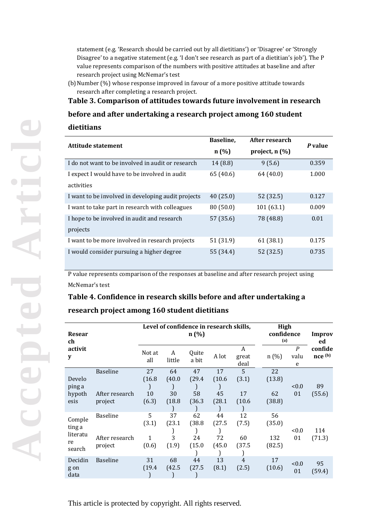statement (e.g. 'Research should be carried out by all dietitians') or 'Disagree' or 'Strongly Disagree' to a negative statement (e.g. 'I don't see research as part of a dietitian's job'). The P value represents comparison of the numbers with positive attitudes at baseline and after research project using McNemar's test

(b) Number (%) whose response improved in favour of a more positive attitude towards research after completing a research project.

## **Table 3. Comparison of attitudes towards future involvement in research**

#### **before and after undertaking a research project among 160 student**

#### **dietitians**

| Attitude statement                                 | Baseline, | After research   | P value |
|----------------------------------------------------|-----------|------------------|---------|
|                                                    | n(%)      | project, $n(\%)$ |         |
| I do not want to be involved in audit or research  | 14(8.8)   | 9(5.6)           | 0.359   |
| I expect I would have to be involved in audit      | 65 (40.6) | 64 (40.0)        | 1.000   |
| activities                                         |           |                  |         |
| I want to be involved in developing audit projects | 40(25.0)  | 52 (32.5)        | 0.127   |
| I want to take part in research with colleagues    | 80(50.0)  | 101(63.1)        | 0.009   |
| I hope to be involved in audit and research        | 57 (35.6) | 78 (48.8)        | 0.01    |
| projects                                           |           |                  |         |
| I want to be more involved in research projects    | 51 (31.9) | 61(38.1)         | 0.175   |
| I would consider pursuing a higher degree          | 55 (34.4) | 52 (32.5)        | 0.735   |

P value represents comparison of the responses at baseline and after research project using McNemar's test

# **Table 4. Confidence in research skills before and after undertaking a**

## **research project among 160 student dietitians**

| Resear<br>ch                                 |                                              |                                     |                              | Level of confidence in research skills,<br>n(%) |                              |                            |                               | High<br>confidence<br>(a) |                          |  |  |
|----------------------------------------------|----------------------------------------------|-------------------------------------|------------------------------|-------------------------------------------------|------------------------------|----------------------------|-------------------------------|---------------------------|--------------------------|--|--|
| activit<br>y                                 |                                              | Not at<br>all                       | A<br>little                  | Quite<br>a bit                                  | A lot                        | A<br>great<br>deal         | n(%)                          | P<br>valu<br>e            | ed<br>confide<br>nce (b) |  |  |
| Develo<br>ping a<br>hypoth<br>esis           | <b>Baseline</b><br>After research<br>project | 27<br>(16.8)<br>10<br>(6.3)         | 64<br>(40.0)<br>30<br>(18.8) | 47<br>(29.4)<br>58<br>(36.3)                    | 17<br>(10.6)<br>45<br>(28.1) | 5<br>(3.1)<br>17<br>(10.6) | 22<br>(13.8)<br>62<br>(38.8)  | < 0.0<br>01               | 89<br>(55.6)             |  |  |
| Comple<br>ting a<br>literatu<br>re<br>search | <b>Baseline</b><br>After research<br>project | 5<br>(3.1)<br>$\mathbf{1}$<br>(0.6) | 37<br>(23.1)<br>3<br>(1.9)   | 62<br>(38.8)<br>24<br>(15.0)                    | 44<br>(27.5)<br>72<br>(45.0  | 12<br>(7.5)<br>60<br>(37.5 | 56<br>(35.0)<br>132<br>(82.5) | < 0.0<br>01               | 114<br>(71.3)            |  |  |
| Decidin<br>g on<br>data                      | <b>Baseline</b>                              | 31<br>(19.4)                        | 68<br>(42.5)                 | 44<br>(27.5)                                    | 13<br>(8.1)                  | 4<br>(2.5)                 | 17<br>(10.6)                  | < 0.0<br>01               | 95<br>(59.4)             |  |  |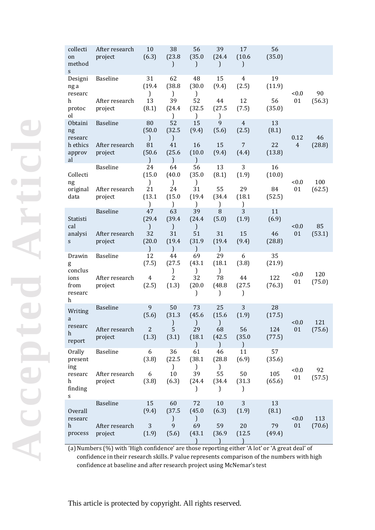| collecti<br>on<br>method<br>S. | After research<br>project | 10<br>(6.3)                   | 38<br>(23.8)<br>$\mathcal{L}$ | 56<br>(35.0)<br>$\mathcal{C}$ | 39<br>(24.4)<br>$\mathcal{L}$ | 17<br>(10.6)<br>$\mathcal{C}$ | 56<br>(35.0)  |                |              |
|--------------------------------|---------------------------|-------------------------------|-------------------------------|-------------------------------|-------------------------------|-------------------------------|---------------|----------------|--------------|
| Designi<br>ng a<br>researc     | Baseline                  | 31<br>(19.4)<br>)             | 62<br>(38.8)<br>$\mathcal{L}$ | 48<br>(30.0)<br>)             | 15<br>(9.4)                   | $\overline{4}$<br>(2.5)       | 19<br>(11.9)  | < 0.0          | 90           |
| h<br>protoc<br>οl              | After research<br>project | 13<br>(8.1)                   | 39<br>(24.4)<br>$\mathcal{L}$ | 52<br>(32.5)<br>$\mathcal{L}$ | 44<br>(27.5)<br>$\mathcal{E}$ | 12<br>(7.5)                   | 56<br>(35.0)  | 01             | (56.3)       |
| Obtaini<br>ng<br>researc       | <b>Baseline</b>           | 80<br>(50.0)<br>$\mathcal{E}$ | 52<br>(32.5)<br>$\mathcal{L}$ | 15<br>(9.4)                   | 9<br>(5.6)                    | $\overline{4}$<br>(2.5)       | 13<br>(8.1)   | 0.12           | 46           |
| h ethics<br>approv<br>al       | After research<br>project | 81<br>(50.6)<br>1             | 41<br>(25.6)<br>1             | 16<br>(10.0)<br>1             | 15<br>(9.4)                   | $\overline{7}$<br>(4.4)       | 22<br>(13.8)  | $\overline{4}$ | (28.8)       |
| Collecti<br>ng                 | <b>Baseline</b>           | 24<br>(15.0)<br>)             | 64<br>(40.0)<br>$\mathcal{L}$ | 56<br>(35.0)<br>)             | 13<br>(8.1)                   | 3<br>(1.9)                    | 16<br>(10.0)  | < 0.0          | 100          |
| original<br>data               | After research<br>project | 21<br>(13.1)<br>$\mathcal{E}$ | 24<br>(15.0)<br>$\mathcal{L}$ | 31<br>(19.4)<br>$\mathbf{I}$  | 55<br>(34.4)<br>$\mathbf{I}$  | 29<br>(18.1)<br>)             | 84<br>(52.5)  | 01             | (62.5)       |
| Statisti<br>cal                | <b>Baseline</b>           | 47<br>(29.4)<br>$\mathcal{E}$ | 63<br>(39.4)<br>$\mathcal{E}$ | 39<br>(24.4)<br>$\mathcal{L}$ | 8<br>(5.0)                    | 3<br>(1.9)                    | 11<br>(6.9)   | < 0.0          | 85           |
| analysi<br>S                   | After research<br>project | 32<br>(20.0)<br>$\mathcal{E}$ | 31<br>(19.4)<br>$\mathcal{L}$ | 51<br>(31.9)<br>)             | 31<br>(19.4)<br>$\mathcal{L}$ | 15<br>(9.4)                   | 46<br>(28.8)  | 01             | (53.1)       |
| Drawin<br>g<br>conclus         | <b>Baseline</b>           | 12<br>(7.5)                   | 44<br>(27.5)<br>J             | 69<br>(43.1)<br>)             | 29<br>(18.1)<br>)             | 6<br>(3.8)                    | 35<br>(21.9)  | < 0.0          | 120          |
| ions<br>from<br>researc<br>h   | After research<br>project | 4<br>(2.5)                    | 2<br>(1.3)                    | 32<br>(20.0)<br>$\mathcal{I}$ | 78<br>(48.8)<br>$\mathbf{I}$  | 44<br>(27.5)<br>$\mathcal{I}$ | 122<br>(76.3) | 01             | (75.0)       |
| Writing<br>a                   | <b>Baseline</b>           | $\overline{9}$<br>(5.6)       | 50<br>(31.3)<br>$\mathbf{I}$  | 73<br>(45.6)<br>J             | 25<br>(15.6)<br>J             | 3<br>(1.9)                    | 28<br>(17.5)  | < 0.0          | 121          |
| researc<br>h<br>report         | After research<br>project | $\overline{2}$<br>(1.3)       | 5<br>(3.1)                    | 29<br>(18.1)                  | 68<br>(42.5)<br>$\mathbf{I}$  | 56<br>(35.0)<br><sup>)</sup>  | 124<br>(77.5) | 01             | (75.6)       |
| Orally<br>present<br>ing       | <b>Baseline</b>           | 6<br>(3.8)                    | 36<br>(22.5)<br>$\mathcal{L}$ | 61<br>(38.1)<br>℩             | 46<br>(28.8)<br>$\mathcal{L}$ | 11<br>(6.9)                   | 57<br>(35.6)  |                |              |
| researc<br>h<br>finding<br>s   | After research<br>project | $\boldsymbol{6}$<br>(3.8)     | 10<br>(6.3)                   | 39<br>(24.4)<br>$\mathbf{I}$  | 55<br>(34.4)<br>$\mathbf{I}$  | 50<br>(31.3)<br>$\mathbf{I}$  | 105<br>(65.6) | < 0.0<br>01    | 92<br>(57.5) |
| Overall<br>researc             | <b>Baseline</b>           | 15<br>(9.4)                   | 60<br>(37.5)<br>$\mathcal{L}$ | 72<br>(45.0)<br>)             | 10<br>(6.3)                   | 3<br>(1.9)                    | 13<br>(8.1)   | < 0.0          | 113          |
| h<br>process                   | After research<br>project | $\mathfrak{Z}$<br>(1.9)       | 9<br>(5.6)                    | 69<br>(43.1)                  | 59<br>(36.9)                  | 20<br>(12.5)                  | 79<br>(49.4)  | 01             | (70.6)       |

(a)Numbers (%) with 'High confidence' are those reporting either 'A lot' or 'A great deal' of confidence in their research skills. P value represents comparison of the numbers with high confidence at baseline and after research project using McNemar's test

**Accepted Article** Articl Accepted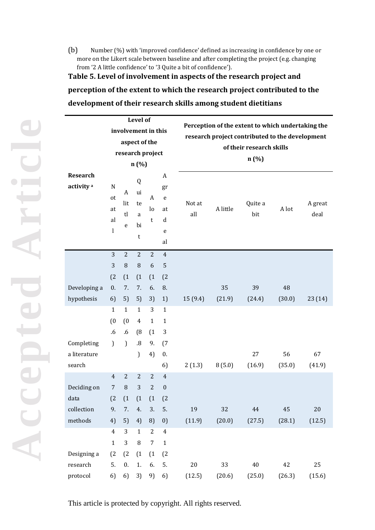(b) Number (%) with 'improved confidence' defined as increasing in confidence by one or more on the Likert scale between baseline and after completing the project (e.g. changing from '2 A little confidence' to '3 Quite a bit of confidence').

**Table 5. Level of involvement in aspects of the research project and perception of the extent to which the research project contributed to the development of their research skills among student dietitians**

|                                          | <b>Level of</b>          |                     |                               |                  |                                                      |               | Perception of the extent to which undertaking the                           |                |        |                 |  |  |  |  |
|------------------------------------------|--------------------------|---------------------|-------------------------------|------------------|------------------------------------------------------|---------------|-----------------------------------------------------------------------------|----------------|--------|-----------------|--|--|--|--|
| involvement in this                      |                          |                     |                               |                  |                                                      |               |                                                                             |                |        |                 |  |  |  |  |
|                                          |                          |                     | aspect of the                 |                  |                                                      |               | research project contributed to the development<br>of their research skills |                |        |                 |  |  |  |  |
|                                          |                          |                     | research project              |                  |                                                      |               |                                                                             |                |        |                 |  |  |  |  |
|                                          |                          |                     | n(%)                          |                  |                                                      |               | n(%)                                                                        |                |        |                 |  |  |  |  |
| <b>Research</b><br>activity <sup>a</sup> | N<br>ot<br>at<br>al<br>1 | A<br>lit<br>tl<br>e | Q<br>ui<br>te<br>a<br>bi<br>t | A<br>lo<br>t     | A<br>gr<br>${\bf e}$<br>at<br>$\mathbf d$<br>e<br>al | Not at<br>all | A little                                                                    | Quite a<br>bit | A lot  | A great<br>deal |  |  |  |  |
|                                          | 3                        | 2                   | $\overline{2}$                | $\overline{2}$   | $\overline{4}$                                       |               |                                                                             |                |        |                 |  |  |  |  |
|                                          | 3                        | $\, 8$              | $\, 8$                        | 6                | $\overline{5}$                                       |               |                                                                             |                |        |                 |  |  |  |  |
|                                          | (2)                      | (1)                 | (1)                           | (1)              | (2)                                                  |               |                                                                             |                |        |                 |  |  |  |  |
| Developing a                             | 0.                       | 7.                  | 7.                            | 6.               | 8.                                                   |               | 35                                                                          | 39             | 48     |                 |  |  |  |  |
| hypothesis                               | 6)                       | 5)                  | 5)                            | 3)               | 1)                                                   | 15 (9.4)      | (21.9)                                                                      | (24.4)         | (30.0) | 23 (14)         |  |  |  |  |
|                                          | $\mathbf{1}$             | $\mathbf{1}$        | $\mathbf{1}$                  | 3                | $\mathbf{1}$                                         |               |                                                                             |                |        |                 |  |  |  |  |
|                                          | (0)                      | (0)                 | $\overline{4}$                | $\mathbf{1}$     | $\mathbf{1}$                                         |               |                                                                             |                |        |                 |  |  |  |  |
|                                          | .6                       | .6                  | (8)                           | (1)              | $\sqrt{3}$                                           |               |                                                                             |                |        |                 |  |  |  |  |
| Completing                               | $\mathcal{L}$            | $\mathcal{L}$       | $\boldsymbol{.8}$             | 9.               | (7)                                                  |               |                                                                             |                |        |                 |  |  |  |  |
| a literature                             |                          |                     | $\mathcal{L}$                 | 4)               | 0.                                                   |               |                                                                             | 27             | 56     | 67              |  |  |  |  |
| search                                   |                          |                     |                               |                  | 6)                                                   | 2(1.3)        | 8(5.0)                                                                      | (16.9)         | (35.0) | (41.9)          |  |  |  |  |
|                                          | $\overline{4}$           | $\overline{2}$      | $\overline{2}$                | $\overline{2}$   | $\overline{4}$                                       |               |                                                                             |                |        |                 |  |  |  |  |
| Deciding on                              | $\overline{7}$           | $\, 8$              | 3                             | $\overline{2}$   | $\boldsymbol{0}$                                     |               |                                                                             |                |        |                 |  |  |  |  |
| data                                     | (2)                      | (1)                 | (1)                           | (1)              | (2)                                                  |               |                                                                             |                |        |                 |  |  |  |  |
| collection                               | 9.                       | 7.                  | 4.                            | 3.               | 5.                                                   | 19            | 32                                                                          | $\bf 44$       | 45     | $20\,$          |  |  |  |  |
| methods                                  | 4)                       | 5)                  | 4)                            | 8)               | 0)                                                   | (11.9)        | (20.0)                                                                      | (27.5)         | (28.1) | (12.5)          |  |  |  |  |
|                                          | $\overline{4}$           | 3                   | $\mathbf{1}$                  | $\overline{2}$   | $\overline{4}$                                       |               |                                                                             |                |        |                 |  |  |  |  |
|                                          | $\mathbf{1}$             | 3                   | $\, 8$                        | $\boldsymbol{7}$ | $\mathbf 1$                                          |               |                                                                             |                |        |                 |  |  |  |  |
| Designing a                              | (2)                      | (2)                 | (1)                           | (1)              | (2)                                                  |               |                                                                             |                |        |                 |  |  |  |  |
| research                                 | 5.                       | 0.                  | 1.                            | 6.               | 5.                                                   | $20\,$        | 33                                                                          | $40\,$         | 42     | 25              |  |  |  |  |
| protocol                                 | 6)                       | 6)                  | 3)                            | 9)               | 6)                                                   | (12.5)        | (20.6)                                                                      | (25.0)         | (26.3) | (15.6)          |  |  |  |  |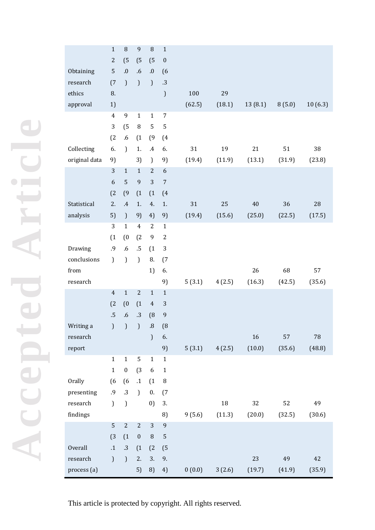|               | $\mathbf{1}$    | 8                | $\overline{9}$   | 8                 | $1\,$            |        |        |         |        |            |
|---------------|-----------------|------------------|------------------|-------------------|------------------|--------|--------|---------|--------|------------|
|               | $\sqrt{2}$      | (5)              | (5)              | (5)               | $\boldsymbol{0}$ |        |        |         |        |            |
| Obtaining     | 5               | $\bf .0$         | $\cdot 6$        | $\boldsymbol{.0}$ | (6)              |        |        |         |        |            |
| research      | (7)             | $\mathcal{L}$    | $\mathcal{L}$    | $\mathcal{L}$     | .3               |        |        |         |        |            |
| ethics        | 8.              |                  |                  |                   | $\mathcal{L}$    | 100    | 29     |         |        |            |
| approval      | 1)              |                  |                  |                   |                  | (62.5) | (18.1) | 13(8.1) | 8(5.0) | 10(6.3)    |
|               | $\overline{4}$  | 9                | $\mathbf{1}$     | $\mathbf{1}$      | 7                |        |        |         |        |            |
|               | 3               | (5)              | $\, 8$           | 5                 | 5                |        |        |         |        |            |
|               | (2)             | .6               | (1)              | (9)               | (4)              |        |        |         |        |            |
| Collecting    | 6.              | $\mathcal{L}$    | 1.               | $\cdot$           | 6.               | 31     | 19     | 21      | 51     | 38         |
| original data | 9)              |                  | 3)               | $\mathcal{L}$     | 9)               | (19.4) | (11.9) | (13.1)  | (31.9) | (23.8)     |
|               | 3               | $\mathbf{1}$     | $\mathbf{1}$     | $\overline{2}$    | 6                |        |        |         |        |            |
|               | 6               | 5                | $\boldsymbol{9}$ | 3                 | $\sqrt{ }$       |        |        |         |        |            |
|               | (2)             | (9)              | (1)              | (1)               | (4)              |        |        |         |        |            |
| Statistical   | 2.              | $\cdot$          | 1.               | 4.                | 1.               | 31     | 25     | 40      | 36     | 28         |
| analysis      | 5)              | $\mathcal{L}$    | 9)               | 4)                | 9)               | (19.4) | (15.6) | (25.0)  | (22.5) | (17.5)     |
|               | 3               | $\mathbf{1}$     | $\overline{4}$   | $\overline{2}$    | $\mathbf 1$      |        |        |         |        |            |
|               | (1)             | (0)              | (2)              | 9                 | $\boldsymbol{2}$ |        |        |         |        |            |
| Drawing       | .9              | .6               | $.5\,$           | (1)               | 3                |        |        |         |        |            |
| conclusions   | $\mathcal{L}$   | $\mathcal{L}$    | $\mathcal{L}$    | 8.                | (7)              |        |        |         |        |            |
| from          |                 |                  |                  | 1)                | 6.               |        |        | 26      | 68     | 57         |
| research      |                 |                  |                  |                   | 9)               | 5(3.1) | 4(2.5) | (16.3)  | (42.5) | (35.6)     |
|               | $\overline{4}$  | $\mathbf{1}$     | $\overline{2}$   | $\mathbf{1}$      | $1\,$            |        |        |         |        |            |
|               | (2)             | (0)              | (1)              | $\overline{4}$    | $\sqrt{3}$       |        |        |         |        |            |
|               | $.5\phantom{0}$ | .6               | .3               | (8)               | 9                |        |        |         |        |            |
| Writing a     | $\mathcal{L}$   | $\mathcal{L}$    | $\big)$          | .8                | (8)              |        |        |         |        |            |
| research      |                 |                  |                  | $\mathcal{L}$     | 6.               |        |        | 16      | 57     | ${\bf 78}$ |
| report        |                 |                  |                  |                   | 9)               | 5(3.1) | 4(2.5) | (10.0)  | (35.6) | (48.8)     |
|               | $\mathbf{1}$    | $\mathbf{1}$     | 5                | $\mathbf 1$       | $\mathbf 1$      |        |        |         |        |            |
|               | $\mathbf{1}$    | $\boldsymbol{0}$ | (3)              | $\boldsymbol{6}$  | $\mathbf 1$      |        |        |         |        |            |
| Orally        | (6)             | (6)              | $.1\,$           | (1)               | $\, 8$           |        |        |         |        |            |
| presenting    | .9              | $.3\,$           | $\mathcal{L}$    | 0.                | (7)              |        |        |         |        |            |
| research      | $\mathcal{L}$   | $\mathcal{L}$    |                  | 0)                | 3.               |        | $18\,$ | 32      | 52     | 49         |
| findings      |                 |                  |                  |                   | 8)               | 9(5.6) | (11.3) | (20.0)  | (32.5) | (30.6)     |
|               | 5               | $\mathbf{2}$     | $\sqrt{2}$       | $\overline{3}$    | 9                |        |        |         |        |            |
|               | (3)             | (1)              | $\boldsymbol{0}$ | $\, 8$            | $\mathbf 5$      |        |        |         |        |            |
| Overall       | $\cdot$ 1       | $.3\phantom{0}$  | (1)              | (2)               | (5)              |        |        |         |        |            |
| research      | $\mathcal{L}$   | $\mathcal{L}$    | 2.               | 3.                | 9.               |        |        | 23      | 49     | 42         |
| process (a)   |                 |                  | 5)               | 8)                | 4)               | 0(0.0) | 3(2.6) | (19.7)  | (41.9) | (35.9)     |

**Accepted Article**  $\bullet$ Accepted

 $\blacktriangleright$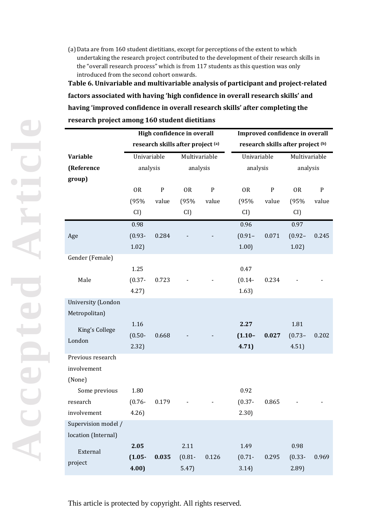(a)Data are from 160 student dietitians, except for perceptions of the extent to which undertaking the research project contributed to the development of their research skills in the "overall research process" which is from 117 students as this question was only introduced from the second cohort onwards.

**Table 6. Univariable and multivariable analysis of participant and project-related factors associated with having 'high confidence in overall research skills' and having 'improved confidence in overall research skills' after completing the research project among 160 student dietitians**

|                     |               |           | High confidence in overall        |           |             |           | Improved confidence in overall    |           |
|---------------------|---------------|-----------|-----------------------------------|-----------|-------------|-----------|-----------------------------------|-----------|
|                     |               |           | research skills after project (a) |           |             |           | research skills after project (b) |           |
| <b>Variable</b>     | Univariable   |           | Multivariable                     |           | Univariable |           | Multivariable                     |           |
| (Reference          | analysis      |           | analysis                          |           | analysis    |           | analysis                          |           |
| group)              |               |           |                                   |           |             |           |                                   |           |
|                     | <b>OR</b>     | ${\bf P}$ | <b>OR</b>                         | ${\bf P}$ | <b>OR</b>   | ${\bf P}$ | <b>OR</b>                         | ${\bf P}$ |
|                     | (95%<br>value |           | (95%                              | value     | (95%        | value     | (95%                              | value     |
|                     | CI)           |           | CI)                               |           | CI)         |           | CI)                               |           |
|                     | 0.98          |           |                                   |           | 0.96        |           | 0.97                              |           |
| Age                 | $(0.93 -$     | 0.284     |                                   |           | $(0.91 -$   | 0.071     | $(0.92 -$                         | 0.245     |
|                     | 1.02)         |           |                                   |           | 1.00)       |           | 1.02)                             |           |
| Gender (Female)     |               |           |                                   |           |             |           |                                   |           |
|                     | 1.25          |           |                                   |           | 0.47        |           |                                   |           |
| Male                | $(0.37 -$     | 0.723     |                                   |           | $(0.14 -$   | 0.234     |                                   |           |
|                     | 4.27)         |           |                                   |           | 1.63)       |           |                                   |           |
| University (London  |               |           |                                   |           |             |           |                                   |           |
| Metropolitan)       |               |           |                                   |           |             |           |                                   |           |
| King's College      | 1.16          |           |                                   |           | 2.27        |           | 1.81                              |           |
| London              | $(0.50 -$     | 0.668     |                                   |           | $(1.10 -$   | 0.027     | $(0.73 -$                         | 0.202     |
|                     | 2.32)         |           |                                   |           | 4.71)       |           | 4.51)                             |           |
| Previous research   |               |           |                                   |           |             |           |                                   |           |
| involvement         |               |           |                                   |           |             |           |                                   |           |
| (None)              |               |           |                                   |           |             |           |                                   |           |
| Some previous       | 1.80          |           |                                   |           | 0.92        |           |                                   |           |
| research            | $(0.76 -$     | 0.179     |                                   |           | $(0.37 -$   | 0.865     |                                   |           |
| involvement         | 4.26          |           |                                   |           | 2.30)       |           |                                   |           |
| Supervision model / |               |           |                                   |           |             |           |                                   |           |
| location (Internal) |               |           |                                   |           |             |           |                                   |           |
| External            | 2.05          |           | 2.11                              |           | 1.49        |           | 0.98                              |           |
| project             | $(1.05 -$     | 0.035     | $(0.81 -$                         | 0.126     | $(0.71 -$   | 0.295     | $(0.33 -$                         | 0.969     |
|                     | 4.00          |           | 5.47)                             |           | 3.14)       |           | 2.89                              |           |